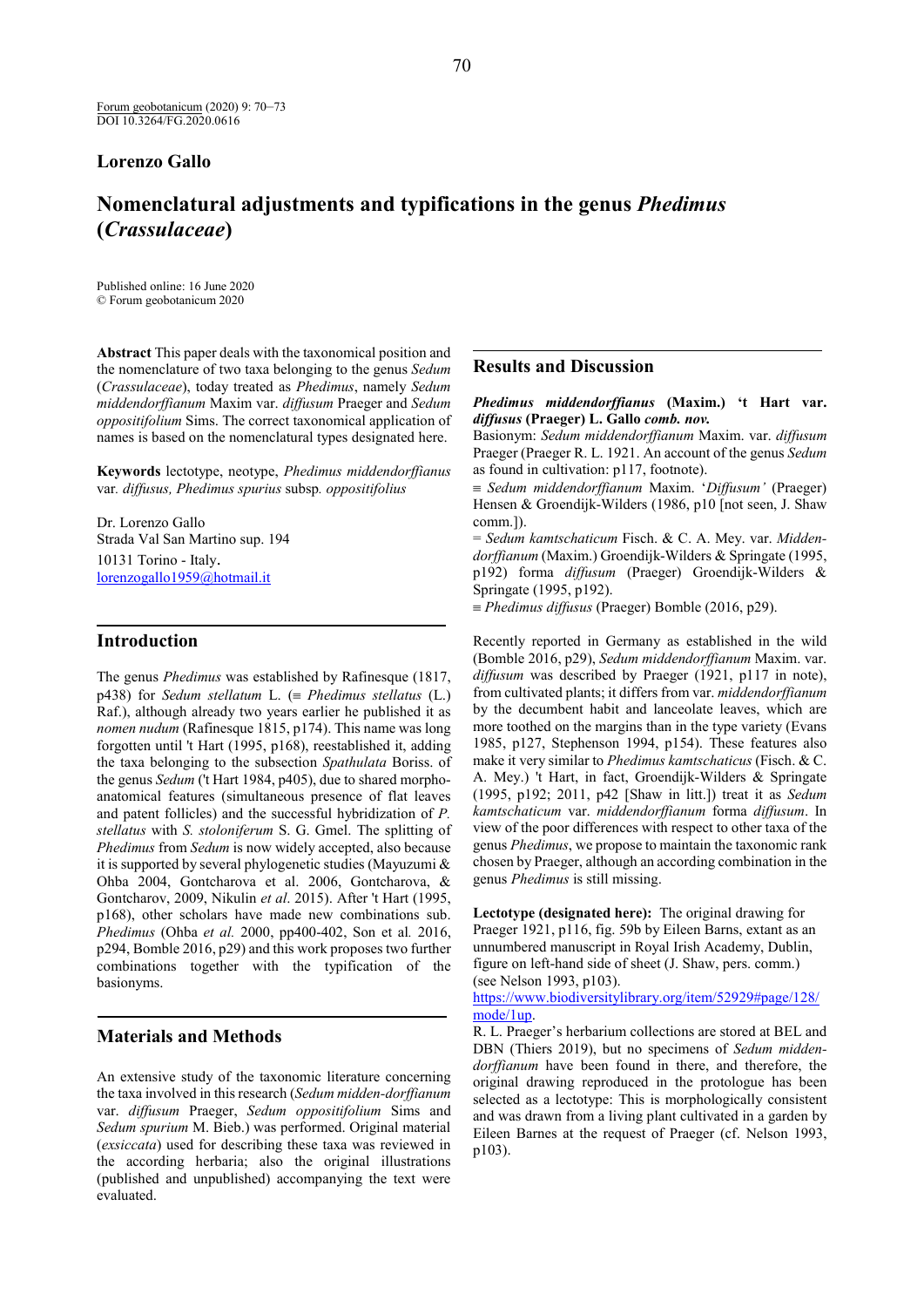## **Lorenzo Gallo**

# **Nomenclatural adjustments and typifications in the genus** *Phedimus* **(***Crassulaceae***)**

Published online: 16 June 2020 © Forum geobotanicum 2020

**Abstract** This paper deals with the taxonomical position and the nomenclature of two taxa belonging to the genus *Sedum* (*Crassulaceae*), today treated as *Phedimus*, namely *Sedum middendorffianum* Maxim var. *diffusum* Praeger and *Sedum oppositifolium* Sims. The correct taxonomical application of names is based on the nomenclatural types designated here.

**Keywords** lectotype, neotype, *Phedimus middendorffianus*  var*. diffusus, Phedimus spurius* subsp*. oppositifolius*

Dr. Lorenzo Gallo Strada Val San Martino sup. 194 10131 Torino - Italy. [lorenzogallo1959@hotmail.it](mailto:lorenzogallo1959@hotmail.it)

#### **Introduction**

The genus *Phedimus* was established by Rafinesque (1817, p438) for *Sedum stellatum* L. (≡ *Phedimus stellatus* (L.) Raf.), although already two years earlier he published it as *nomen nudum* (Rafinesque 1815, p174). This name was long forgotten until 't Hart (1995, p168), reestablished it, adding the taxa belonging to the subsection *Spathulata* Boriss. of the genus *Sedum* ('t Hart 1984, p405), due to shared morphoanatomical features (simultaneous presence of flat leaves and patent follicles) and the successful hybridization of *P. stellatus* with *S. stoloniferum* S. G. Gmel. The splitting of *Phedimus* from *Sedum* is now widely accepted, also because it is supported by several phylogenetic studies (Mayuzumi & Ohba 2004, Gontcharova et al. 2006, Gontcharova, & Gontcharov, 2009, Nikulin *et al*. 2015). After 't Hart (1995, p168), other scholars have made new combinations sub. *Phedimus* (Ohba *et al.* 2000, pp400-402, Son et al*.* 2016, p294, Bomble 2016, p29) and this work proposes two further combinations together with the typification of the basionyms.

# **Materials and Methods**

An extensive study of the taxonomic literature concerning the taxa involved in this research (*Sedum midden-dorffianum* var. *diffusum* Praeger, *Sedum oppositifolium* Sims and *Sedum spurium* M. Bieb.) was performed. Original material (*exsiccata*) used for describing these taxa was reviewed in the according herbaria; also the original illustrations (published and unpublished) accompanying the text were evaluated.

## **Results and Discussion**

*Phedimus middendorffianus* **(Maxim.) 't Hart var.**  *diffusus* **(Praeger) L. Gallo** *comb. nov.*

Basionym: *Sedum middendorffianum* Maxim. var. *diffusum* Praeger (Praeger R. L. 1921. An account of the genus *Sedum* as found in cultivation: p117, footnote).

≡ *Sedum middendorffianum* Maxim. '*Diffusum'* (Praeger) Hensen & Groendijk-Wilders (1986, p10 [not seen, J. Shaw comm.]).

= *Sedum kamtschaticum* Fisch. & C. A. Mey. var. *Middendorffianum* (Maxim.) Groendijk-Wilders & Springate (1995, p192) forma *diffusum* (Praeger) Groendijk-Wilders & Springate (1995, p192).

≡ *Phedimus diffusus* (Praeger) Bomble (2016, p29).

Recently reported in Germany as established in the wild (Bomble 2016, p29), *Sedum middendorffianum* Maxim. var. *diffusum* was described by Praeger (1921, p117 in note), from cultivated plants; it differs from var. *middendorffianum* by the decumbent habit and lanceolate leaves, which are more toothed on the margins than in the type variety (Evans 1985, p127, Stephenson 1994, p154). These features also make it very similar to *Phedimus kamtschaticus* (Fisch. & C. A. Mey.) 't Hart, in fact, Groendijk-Wilders & Springate (1995, p192; 2011, p42 [Shaw in litt.]) treat it as *Sedum kamtschaticum* var. *middendorffianum* forma *diffusum*. In view of the poor differences with respect to other taxa of the genus *Phedimus*, we propose to maintain the taxonomic rank chosen by Praeger, although an according combination in the genus *Phedimus* is still missing.

**Lectotype (designated here):** The original drawing for Praeger 1921, p116, fig. 59b by Eileen Barns, extant as an unnumbered manuscript in Royal Irish Academy, Dublin, figure on left-hand side of sheet (J. Shaw, pers. comm.) (see Nelson 1993, p103).

 [mode/1up.](https://www.biodiversitylibrary.org/item/52929#page/128/mode/1up) [https://www.biodiversitylibrary.org/item/52929#page/128/](https://www.biodiversitylibrary.org/item/52929#page/128/mode/1up)

R. L. Praeger's herbarium collections are stored at BEL and DBN (Thiers 2019), but no specimens of *Sedum middendorffianum* have been found in there, and therefore, the original drawing reproduced in the protologue has been selected as a lectotype: This is morphologically consistent and was drawn from a living plant cultivated in a garden by Eileen Barnes at the request of Praeger (cf. Nelson 1993, p103).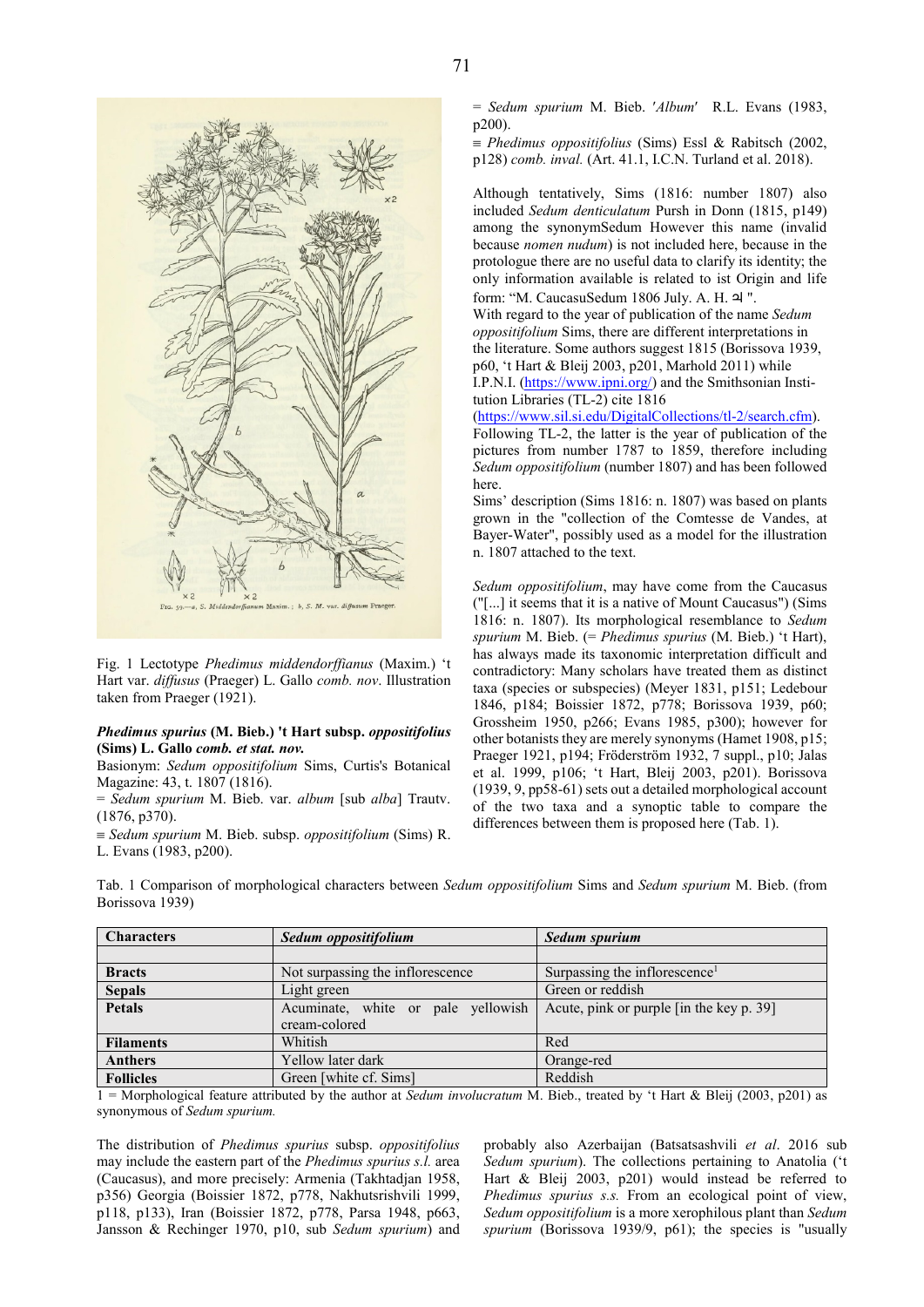

Fig. 1 Lectotype *Phedimus middendorffianus* (Maxim.) 't Hart var. *diffusus* (Praeger) L. Gallo *comb. nov*. Illustration taken from Praeger (1921).

#### *Phedimus spurius* **(M. Bieb.) 't Hart subsp.** *oppositifolius* **(Sims) L. Gallo** *comb. et stat. nov.*

Basionym: *Sedum oppositifolium* Sims, Curtis's Botanical Magazine: 43, t. 1807 (1816).

= *Sedum spurium* M. Bieb. var. *album* [sub *alba*] Trautv. (1876, p370).

≡ *Sedum spurium* M. Bieb. subsp. *oppositifolium* (Sims) R. L. Evans (1983, p200).

= *Sedum spurium* M. Bieb. ′*Album*′ R.L. Evans (1983, p200).

≡ *Phedimus oppositifolius* (Sims) Essl & Rabitsch (2002, p128) *comb. inval.* (Art. 41.1, I.C.N. Turland et al. 2018).

Although tentatively, Sims (1816: number 1807) also included *Sedum denticulatum* Pursh in Donn (1815, p149) among the synonymSedum However this name (invalid because *nomen nudum*) is not included here, because in the protologue there are no useful data to clarify its identity; the only information available is related to ist Origin and life form: "M. CaucasuSedum 1806 July. A. H. <sup>2</sup> ".

With regard to the year of publication of the name *Sedum oppositifolium* Sims, there are different interpretations in the literature. Some authors suggest 1815 (Borissova 1939, p60, 't Hart & Bleij 2003, p201, Marhold 2011) while I.P.N.I. [\(https://www.ipni.org/\)](https://www.ipni.org/) and the Smithsonian Institution Libraries (TL-2) cite 1816

[\(https://www.sil.si.edu/DigitalCollections/tl-2/search.cfm\)](https://www.sil.si.edu/DigitalCollections/tl-2/search.cfm).

Following TL-2, the latter is the year of publication of the pictures from number 1787 to 1859, therefore including *Sedum oppositifolium* (number 1807) and has been followed here.

Sims' description (Sims 1816: n. 1807) was based on plants grown in the "collection of the Comtesse de Vandes, at Bayer-Water", possibly used as a model for the illustration n. 1807 attached to the text.

*Sedum oppositifolium*, may have come from the Caucasus ("[...] it seems that it is a native of Mount Caucasus") (Sims 1816: n. 1807). Its morphological resemblance to *Sedum spurium* M. Bieb. (= *Phedimus spurius* (M. Bieb.) 't Hart), has always made its taxonomic interpretation difficult and contradictory: Many scholars have treated them as distinct taxa (species or subspecies) (Meyer 1831, p151; Ledebour 1846, p184; Boissier 1872, p778; Borissova 1939, p60; Grossheim 1950, p266; Evans 1985, p300); however for other botanists they are merely synonyms (Hamet 1908, p15; Praeger 1921, p194; Fröderström 1932, 7 suppl., p10; Jalas et al. 1999, p106; 't Hart, Bleij 2003, p201). Borissova (1939, 9, pp58-61) sets out a detailed morphological account of the two taxa and a synoptic table to compare the differences between them is proposed here (Tab. 1).

Tab. 1 Comparison of morphological characters between *Sedum oppositifolium* Sims and *Sedum spurium* M. Bieb. (from Borissova 1939)

| <b>Characters</b> | Sedum oppositifolium               | Sedum spurium                             |
|-------------------|------------------------------------|-------------------------------------------|
|                   |                                    |                                           |
| <b>Bracts</b>     | Not surpassing the inflorescence   | Surpassing the inflorescence <sup>1</sup> |
| <b>Sepals</b>     | Light green                        | Green or reddish                          |
| <b>Petals</b>     | Acuminate, white or pale yellowish | Acute, pink or purple [in the key p. 39]  |
|                   | cream-colored                      |                                           |
| <b>Filaments</b>  | Whitish                            | Red                                       |
| <b>Anthers</b>    | Yellow later dark                  | Orange-red                                |
| <b>Follicles</b>  | Green [white cf. Sims]             | Reddish                                   |

1 = Morphological feature attributed by the author at *Sedum involucratum* M. Bieb., treated by 't Hart & Bleij (2003, p201) as synonymous of *Sedum spurium.*

The distribution of *Phedimus spurius* subsp. *oppositifolius* may include the eastern part of the *Phedimus spurius s.l.* area (Caucasus), and more precisely: Armenia (Takhtadjan 1958, p356) Georgia (Boissier 1872, p778, Nakhutsrishvili 1999, p118, p133), Iran (Boissier 1872, p778, Parsa 1948, p663, Jansson & Rechinger 1970, p10, sub *Sedum spurium*) and probably also Azerbaijan (Batsatsashvili *et al*. 2016 sub *Sedum spurium*). The collections pertaining to Anatolia ('t Hart & Bleij 2003, p201) would instead be referred to *Phedimus spurius s.s.* From an ecological point of view, *Sedum oppositifolium* is a more xerophilous plant than *Sedum spurium* (Borissova 1939/9, p61); the species is "usually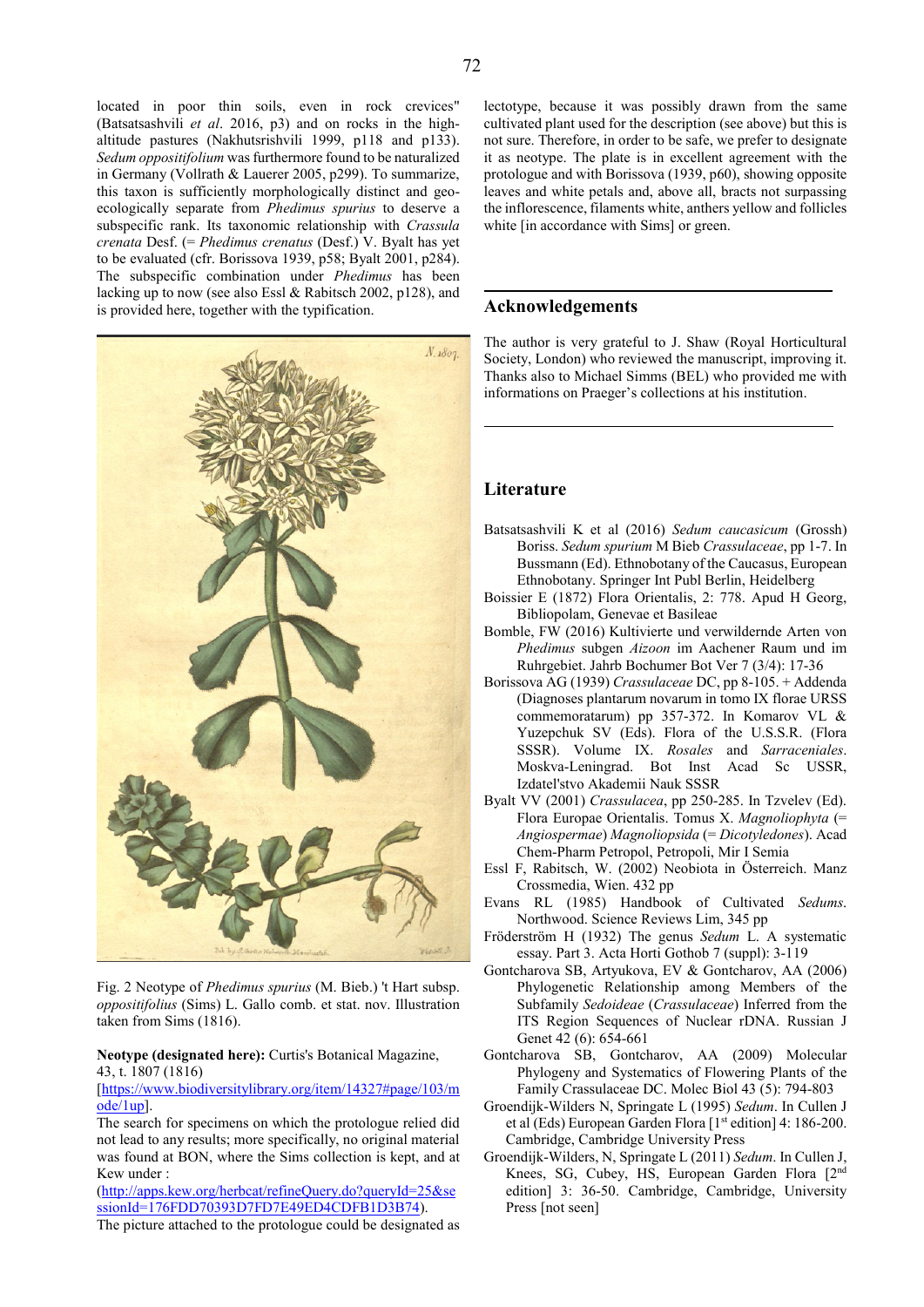72

located in poor thin soils, even in rock crevices" (Batsatsashvili *et al*. 2016, p3) and on rocks in the highaltitude pastures (Nakhutsrishvili 1999, p118 and p133). *Sedum oppositifolium* was furthermore found to be naturalized in Germany (Vollrath & Lauerer 2005, p299). To summarize, this taxon is sufficiently morphologically distinct and geoecologically separate from *Phedimus spurius* to deserve a subspecific rank. Its taxonomic relationship with *Crassula crenata* Desf. (= *Phedimus crenatus* (Desf.) V. Byalt has yet to be evaluated (cfr. Borissova 1939, p58; Byalt 2001, p284). The subspecific combination under *Phedimus* has been lacking up to now (see also Essl & Rabitsch 2002, p128), and is provided here, together with the typification.



Fig. 2 Neotype of *Phedimus spurius* (M. Bieb.) 't Hart subsp. *oppositifolius* (Sims) L. Gallo comb. et stat. nov. Illustration taken from Sims (1816).

#### **Neotype (designated here):** Curtis's Botanical Magazine, 43, t. 1807 (1816)

[\[https://www.biodiversitylibrary.org/item/14327#page/103/m](https://www.biodiversitylibrary.org/item/14327#page/103/mode/1up) [ode/1up\]](https://www.biodiversitylibrary.org/item/14327#page/103/mode/1up).

The search for specimens on which the protologue relied did not lead to any results; more specifically, no original material was found at BON, where the Sims collection is kept, and at Kew under :

[\(http://apps.kew.org/herbcat/refineQuery.do?queryId=25&se](http://apps.kew.org/herbcat/refineQuery.do?queryId=25&sessionId=176FDD70393D7FD7E49ED4CDFB1D3B74) [ssionId=176FDD70393D7FD7E49ED4CDFB1D3B74\)](http://apps.kew.org/herbcat/refineQuery.do?queryId=25&sessionId=176FDD70393D7FD7E49ED4CDFB1D3B74).

The picture attached to the protologue could be designated as

lectotype, because it was possibly drawn from the same cultivated plant used for the description (see above) but this is not sure. Therefore, in order to be safe, we prefer to designate it as neotype. The plate is in excellent agreement with the protologue and with Borissova (1939, p60), showing opposite leaves and white petals and, above all, bracts not surpassing the inflorescence, filaments white, anthers yellow and follicles white [in accordance with Sims] or green.

#### **Acknowledgements**

The author is very grateful to J. Shaw (Royal Horticultural Society, London) who reviewed the manuscript, improving it. Thanks also to Michael Simms (BEL) who provided me with informations on Praeger's collections at his institution.

# **Literature**

- Batsatsashvili K et al (2016) *Sedum caucasicum* (Grossh) Boriss. *Sedum spurium* M Bieb *Crassulaceae*, pp 1-7. In Bussmann (Ed). Ethnobotany of the Caucasus, European Ethnobotany. Springer Int Publ Berlin, Heidelberg
- Boissier E (1872) Flora Orientalis, 2: 778. Apud H Georg, Bibliopolam, Genevae et Basileae
- Bomble, FW (2016) Kultivierte und verwildernde Arten von *Phedimus* subgen *Aizoon* im Aachener Raum und im Ruhrgebiet. Jahrb Bochumer Bot Ver 7 (3/4): 17-36
- Borissova AG (1939) *Crassulaceae* DC, pp 8-105. + Addenda (Diagnoses plantarum novarum in tomo IX florae URSS commemoratarum) pp 357-372. In Komarov VL & Yuzepchuk SV (Eds). Flora of the U.S.S.R. (Flora SSSR). Volume IX. *Rosales* and *Sarraceniales*. Moskva-Leningrad. Bot Inst Acad Sc USSR, Izdatel'stvo Akademii Nauk SSSR
- Byalt VV (2001) *Crassulacea*, pp 250-285. In Tzvelev (Ed). Flora Europae Orientalis. Tomus X. *Magnoliophyta* (= *Angiospermae*) *Magnoliopsida* (= *Dicotyledones*). Acad Chem-Pharm Petropol, Petropoli, Mir I Semia
- Essl F, Rabitsch, W. (2002) Neobiota in Österreich. Manz Crossmedia, Wien. 432 pp
- Evans RL (1985) Handbook of Cultivated *Sedums*. Northwood. Science Reviews Lim, 345 pp
- Fröderström H (1932) The genus *Sedum* L. A systematic essay. Part 3. Acta Horti Gothob 7 (suppl): 3-119
- Gontcharova SB, Artyukova, EV & Gontcharov, AA (2006) Phylogenetic Relationship among Members of the Subfamily *Sedoideae* (*Crassulaceae*) Inferred from the ITS Region Sequences of Nuclear rDNA. Russian J Genet 42 (6): 654-661
- Gontcharova SB, Gontcharov, AA (2009) Molecular Phylogeny and Systematics of Flowering Plants of the Family Crassulaceae DC. Molec Biol 43 (5): 794-803
- Groendijk-Wilders N, Springate L (1995) *Sedum*. In Cullen J et al (Eds) European Garden Flora [1st edition] 4: 186-200. Cambridge, Cambridge University Press
- Groendijk-Wilders, N, Springate L (2011) *Sedum*. In Cullen J, Knees, SG, Cubey, HS, European Garden Flora [2<sup>nd</sup> edition] 3: 36-50. Cambridge, Cambridge, University Press [not seen]